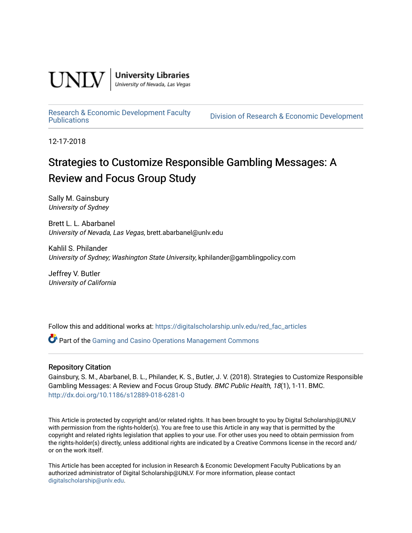

**University Libraries**<br>University of Nevada, Las Vegas

[Research & Economic Development Faculty](https://digitalscholarship.unlv.edu/red_fac_articles)<br>Publications

Division of Research & Economic Development

12-17-2018

# Strategies to Customize Responsible Gambling Messages: A Review and Focus Group Study

Sally M. Gainsbury University of Sydney

Brett L. L. Abarbanel University of Nevada, Las Vegas, brett.abarbanel@unlv.edu

Kahlil S. Philander University of Sydney; Washington State University, kphilander@gamblingpolicy.com

Jeffrey V. Butler University of California

Follow this and additional works at: [https://digitalscholarship.unlv.edu/red\\_fac\\_articles](https://digitalscholarship.unlv.edu/red_fac_articles?utm_source=digitalscholarship.unlv.edu%2Fred_fac_articles%2F3&utm_medium=PDF&utm_campaign=PDFCoverPages) 

Part of the [Gaming and Casino Operations Management Commons](http://network.bepress.com/hgg/discipline/1088?utm_source=digitalscholarship.unlv.edu%2Fred_fac_articles%2F3&utm_medium=PDF&utm_campaign=PDFCoverPages) 

# Repository Citation

Gainsbury, S. M., Abarbanel, B. L., Philander, K. S., Butler, J. V. (2018). Strategies to Customize Responsible Gambling Messages: A Review and Focus Group Study. BMC Public Health, 18(1), 1-11. BMC. <http://dx.doi.org/10.1186/s12889-018-6281-0>

This Article is protected by copyright and/or related rights. It has been brought to you by Digital Scholarship@UNLV with permission from the rights-holder(s). You are free to use this Article in any way that is permitted by the copyright and related rights legislation that applies to your use. For other uses you need to obtain permission from the rights-holder(s) directly, unless additional rights are indicated by a Creative Commons license in the record and/ or on the work itself.

This Article has been accepted for inclusion in Research & Economic Development Faculty Publications by an authorized administrator of Digital Scholarship@UNLV. For more information, please contact [digitalscholarship@unlv.edu](mailto:digitalscholarship@unlv.edu).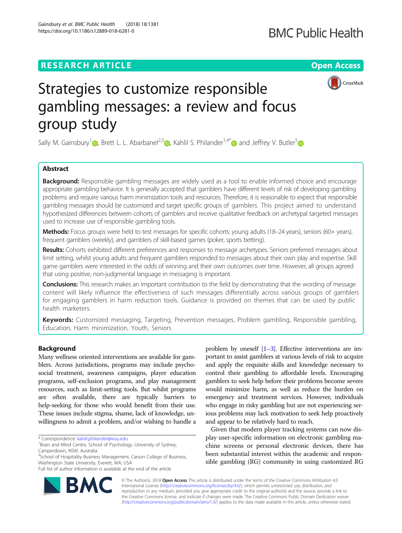# **RESEARCH ARTICLE Example 2018 12:30 THE Open Access**

https://doi.org/10.1186/s12889-018-6281-0

Gainsbury et al. BMC Public Health (2018) 18:1381



# Strategies to customize responsible gambling messages: a review and focus group study

Sally M. Gainsbury<sup>[1](http://orcid.org/0000-0002-9641-5838)</sup> , Brett L. L. Abarbanel<sup>2,[3](http://orcid.org/0000-0002-4279-8466)</sup> , Kahlil S. Philander<sup>1,4[\\*](http://orcid.org/0000-0002-0747-0772)</sup> and Jeffrey V. Butler<sup>[5](http://orcid.org/0000-0001-6401-7504)</sup>

# Abstract

**Background:** Responsible gambling messages are widely used as a tool to enable informed choice and encourage appropriate gambling behavior. It is generally accepted that gamblers have different levels of risk of developing gambling problems and require various harm minimization tools and resources. Therefore, it is reasonable to expect that responsible gambling messages should be customized and target specific groups of gamblers. This project aimed to understand hypothesized differences between cohorts of gamblers and receive qualitative feedback on archetypal targeted messages used to increase use of responsible gambling tools.

Methods: Focus groups were held to test messages for specific cohorts: young adults (18–24 years), seniors (60+ years), frequent gamblers (weekly), and gamblers of skill-based games (poker, sports betting).

Results: Cohorts exhibited different preferences and responses to message archetypes. Seniors preferred messages about limit setting, whilst young adults and frequent gamblers responded to messages about their own play and expertise. Skill game gamblers were interested in the odds of winning and their own outcomes over time. However, all groups agreed that using positive, non-judgmental language in messaging is important.

**Conclusions:** This research makes an important contribution to the field by demonstrating that the wording of message content will likely influence the effectiveness of such messages differentially across various groups of gamblers for engaging gamblers in harm reduction tools. Guidance is provided on themes that can be used by public health marketers.

Keywords: Customized messaging, Targeting, Prevention messages, Problem gambling, Responsible gambling, Education, Harm minimization, Youth, Seniors

# Background

Many wellness oriented interventions are available for gamblers. Across jurisdictions, programs may include psychosocial treatment, awareness campaigns, player education programs, self-exclusion programs, and play management resources, such as limit-setting tools. But whilst programs are often available, there are typically barriers to help-seeking for those who would benefit from their use. These issues include stigma, shame, lack of knowledge, unwillingness to admit a problem, and/or wishing to handle a

\* Correspondence: [kahlil.philander@wsu.edu](mailto:kahlil.philander@wsu.edu) <sup>1</sup>

<sup>4</sup>School of Hospitality Business Management, Carson College of Business, Washington State University, Everett, WA, USA



Given that modern player tracking systems can now display user-specific information on electronic gambling machine screens or personal electronic devices, there has been substantial interest within the academic and responsible gambling (RG) community in using customized RG



© The Author(s). 2018 Open Access This article is distributed under the terms of the Creative Commons Attribution 4.0 International License [\(http://creativecommons.org/licenses/by/4.0/](http://creativecommons.org/licenses/by/4.0/)), which permits unrestricted use, distribution, and reproduction in any medium, provided you give appropriate credit to the original author(s) and the source, provide a link to the Creative Commons license, and indicate if changes were made. The Creative Commons Public Domain Dedication waiver [\(http://creativecommons.org/publicdomain/zero/1.0/](http://creativecommons.org/publicdomain/zero/1.0/)) applies to the data made available in this article, unless otherwise stated.

<sup>&</sup>lt;sup>1</sup> Brain and Mind Centre, School of Psychology, University of Sydney, Camperdown, NSW, Australia

Full list of author information is available at the end of the article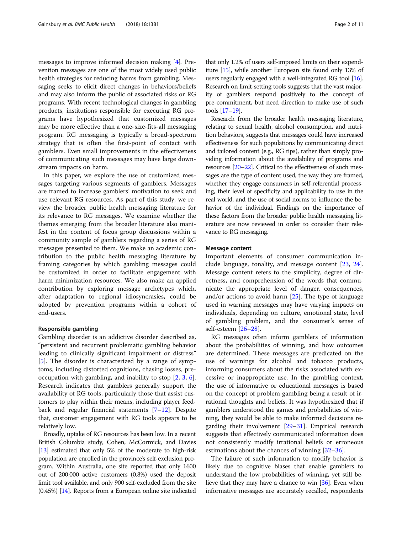messages to improve informed decision making [[4\]](#page-9-0). Prevention messages are one of the most widely used public health strategies for reducing harms from gambling. Messaging seeks to elicit direct changes in behaviors/beliefs and may also inform the public of associated risks or RG programs. With recent technological changes in gambling products, institutions responsible for executing RG programs have hypothesized that customized messages may be more effective than a one-size-fits-all messaging program. RG messaging is typically a broad-spectrum strategy that is often the first-point of contact with gamblers. Even small improvements in the effectiveness of communicating such messages may have large downstream impacts on harm.

In this paper, we explore the use of customized messages targeting various segments of gamblers. Messages are framed to increase gamblers' motivation to seek and use relevant RG resources. As part of this study, we review the broader public health messaging literature for its relevance to RG messages. We examine whether the themes emerging from the broader literature also manifest in the content of focus group discussions within a community sample of gamblers regarding a series of RG messages presented to them. We make an academic contribution to the public health messaging literature by framing categories by which gambling messages could be customized in order to facilitate engagement with harm minimization resources. We also make an applied contribution by exploring message archetypes which, after adaptation to regional idiosyncrasies, could be adopted by prevention programs within a cohort of end-users.

#### Responsible gambling

Gambling disorder is an addictive disorder described as, "persistent and recurrent problematic gambling behavior leading to clinically significant impairment or distress" [[5\]](#page-9-0). The disorder is characterized by a range of symptoms, including distorted cognitions, chasing losses, preoccupation with gambling, and inability to stop [[2](#page-9-0), [3,](#page-9-0) [6](#page-9-0)]. Research indicates that gamblers generally support the availability of RG tools, particularly those that assist customers to play within their means, including player feedback and regular financial statements [\[7](#page-9-0)–[12](#page-10-0)]. Despite that, customer engagement with RG tools appears to be relatively low.

Broadly, uptake of RG resources has been low. In a recent British Columbia study, Cohen, McCormick, and Davies [[13](#page-10-0)] estimated that only 5% of the moderate to high-risk population are enrolled in the province's self-exclusion program. Within Australia, one site reported that only 1600 out of 200,000 active customers (0.8%) used the deposit limit tool available, and only 900 self-excluded from the site (0.45%) [\[14\]](#page-10-0). Reports from a European online site indicated

that only 1.2% of users self-imposed limits on their expenditure [[15](#page-10-0)], while another European site found only 13% of users regularly engaged with a well-integrated RG tool [\[16](#page-10-0)]. Research on limit-setting tools suggests that the vast majority of gamblers respond positively to the concept of pre-commitment, but need direction to make use of such tools [\[17](#page-10-0)–[19\]](#page-10-0).

Research from the broader health messaging literature, relating to sexual health, alcohol consumption, and nutrition behaviors, suggests that messages could have increased effectiveness for such populations by communicating direct and tailored content (e.g., RG tips), rather than simply providing information about the availability of programs and resources [\[20](#page-10-0)–[22\]](#page-10-0). Critical to the effectiveness of such messages are the type of content used, the way they are framed, whether they engage consumers in self-referential processing, their level of specificity and applicability to use in the real world, and the use of social norms to influence the behavior of the individual. Findings on the importance of these factors from the broader public health messaging literature are now reviewed in order to consider their relevance to RG messaging.

#### Message content

Important elements of consumer communication include language, tonality, and message content [\[23,](#page-10-0) [24](#page-10-0)]. Message content refers to the simplicity, degree of directness, and comprehension of the words that communicate the appropriate level of danger, consequences, and/or actions to avoid harm [[25](#page-10-0)]. The type of language used in warning messages may have varying impacts on individuals, depending on culture, emotional state, level of gambling problem, and the consumer's sense of self-esteem [\[26](#page-10-0)–[28\]](#page-10-0).

RG messages often inform gamblers of information about the probabilities of winning, and how outcomes are determined. These messages are predicated on the use of warnings for alcohol and tobacco products, informing consumers about the risks associated with excessive or inappropriate use. In the gambling context, the use of informative or educational messages is based on the concept of problem gambling being a result of irrational thoughts and beliefs. It was hypothesized that if gamblers understood the games and probabilities of winning, they would be able to make informed decisions regarding their involvement [[29](#page-10-0)–[31](#page-10-0)]. Empirical research suggests that effectively communicated information does not consistently modify irrational beliefs or erroneous estimations about the chances of winning [\[32](#page-10-0)–[36\]](#page-10-0).

The failure of such information to modify behavior is likely due to cognitive biases that enable gamblers to understand the low probabilities of winning, yet still believe that they may have a chance to win [[36](#page-10-0)]. Even when informative messages are accurately recalled, respondents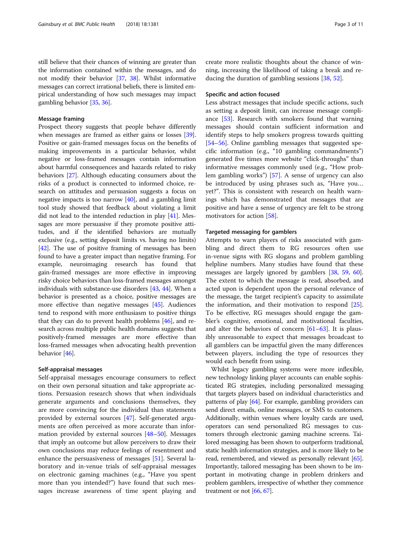#### Message framing

Prospect theory suggests that people behave differently when messages are framed as either gains or losses [[39](#page-10-0)]. Positive or gain-framed messages focus on the benefits of making improvements in a particular behavior, whilst negative or loss-framed messages contain information about harmful consequences and hazards related to risky behaviors [[27](#page-10-0)]. Although educating consumers about the risks of a product is connected to informed choice, research on attitudes and persuasion suggests a focus on negative impacts is too narrow [\[40\]](#page-10-0), and a gambling limit tool study showed that feedback about violating a limit did not lead to the intended reduction in play [[41](#page-10-0)]. Messages are more persuasive if they promote positive attitudes, and if the identified behaviors are mutually exclusive (e.g., setting deposit limits vs. having no limits) [[42](#page-10-0)]. The use of positive framing of messages has been found to have a greater impact than negative framing. For example, neuroimaging research has found that gain-framed messages are more effective in improving risky choice behaviors than loss-framed messages amongst individuals with substance-use disorders [\[43](#page-10-0), [44\]](#page-10-0). When a behavior is presented as a choice, positive messages are more effective than negative messages [[45](#page-10-0)]. Audiences tend to respond with more enthusiasm to positive things that they can do to prevent health problems [\[46\]](#page-10-0), and research across multiple public health domains suggests that positively-framed messages are more effective than loss-framed messages when advocating health prevention behavior [[46](#page-10-0)].

#### Self-appraisal messages

Self-appraisal messages encourage consumers to reflect on their own personal situation and take appropriate actions. Persuasion research shows that when individuals generate arguments and conclusions themselves, they are more convincing for the individual than statements provided by external sources [[47](#page-10-0)]. Self-generated arguments are often perceived as more accurate than information provided by external sources [\[48](#page-10-0)–[50\]](#page-10-0). Messages that imply an outcome but allow perceivers to draw their own conclusions may reduce feelings of resentment and enhance the persuasiveness of messages [[51\]](#page-10-0). Several laboratory and in-venue trials of self-appraisal messages on electronic gaming machines (e.g., "Have you spent more than you intended?") have found that such messages increase awareness of time spent playing and

create more realistic thoughts about the chance of winning, increasing the likelihood of taking a break and reducing the duration of gambling sessions [\[38,](#page-10-0) [52\]](#page-10-0).

# Specific and action focused

Less abstract messages that include specific actions, such as setting a deposit limit, can increase message compliance [[53](#page-10-0)]. Research with smokers found that warning messages should contain sufficient information and identify steps to help smokers progress towards quitting [[54](#page-10-0)–[56](#page-10-0)]. Online gambling messages that suggested specific information (e.g., "10 gambling commandments") generated five times more website "click-throughs" than informative messages commonly used (e.g., "How problem gambling works") [[57](#page-10-0)]. A sense of urgency can also be introduced by using phrases such as, "Have you… yet?". This is consistent with research on health warnings which has demonstrated that messages that are positive and have a sense of urgency are felt to be strong motivators for action [\[58\]](#page-10-0).

#### Targeted messaging for gamblers

Attempts to warn players of risks associated with gambling and direct them to RG resources often use in-venue signs with RG slogans and problem gambling helpline numbers. Many studies have found that these messages are largely ignored by gamblers [\[38,](#page-10-0) [59,](#page-11-0) [60](#page-11-0)]. The extent to which the message is read, absorbed, and acted upon is dependent upon the personal relevance of the message, the target recipient's capacity to assimilate the information, and their motivation to respond [\[25](#page-10-0)]. To be effective, RG messages should engage the gambler's cognitive, emotional, and motivational faculties, and alter the behaviors of concern [[61](#page-11-0)–[63](#page-11-0)]. It is plausibly unreasonable to expect that messages broadcast to all gamblers can be impactful given the many differences between players, including the type of resources they would each benefit from using.

Whilst legacy gambling systems were more inflexible, new technology linking player accounts can enable sophisticated RG strategies, including personalized messaging that targets players based on individual characteristics and patterns of play [[64](#page-11-0)]. For example, gambling providers can send direct emails, online messages, or SMS to customers. Additionally, within venues where loyalty cards are used, operators can send personalized RG messages to customers through electronic gaming machine screens. Tailored messaging has been shown to outperform traditional, static health information strategies, and is more likely to be read, remembered, and viewed as personally relevant [\[65](#page-11-0)]. Importantly, tailored messaging has been shown to be important in motivating change in problem drinkers and problem gamblers, irrespective of whether they commence treatment or not  $[66, 67]$  $[66, 67]$  $[66, 67]$ .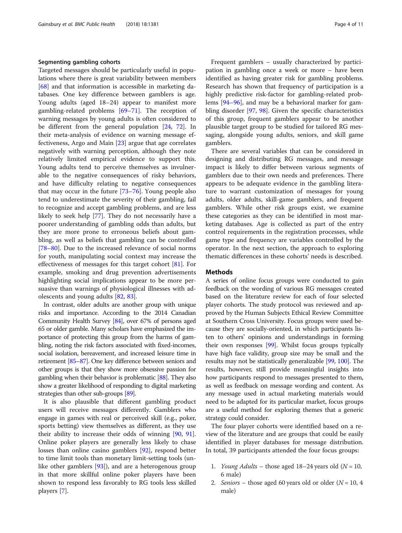#### Segmenting gambling cohorts

Targeted messages should be particularly useful in populations where there is great variability between members [[68\]](#page-11-0) and that information is accessible in marketing databases. One key difference between gamblers is age. Young adults (aged 18–24) appear to manifest more gambling-related problems [[69](#page-11-0)–[71\]](#page-11-0). The reception of warning messages by young adults is often considered to be different from the general population [[24](#page-10-0), [72\]](#page-11-0). In their meta-analysis of evidence on warning message effectiveness, Argo and Main [\[23](#page-10-0)] argue that age correlates negatively with warning perception, although they note relatively limited empirical evidence to support this. Young adults tend to perceive themselves as invulnerable to the negative consequences of risky behaviors, and have difficulty relating to negative consequences that may occur in the future [[73](#page-11-0)–[76](#page-11-0)]. Young people also tend to underestimate the severity of their gambling, fail to recognize and accept gambling problems, and are less likely to seek help [\[77](#page-11-0)]. They do not necessarily have a poorer understanding of gambling odds than adults, but they are more prone to erroneous beliefs about gambling, as well as beliefs that gambling can be controlled [[78](#page-11-0)–[80](#page-11-0)]. Due to the increased relevance of social norms for youth, manipulating social context may increase the effectiveness of messages for this target cohort [[81\]](#page-11-0). For example, smoking and drug prevention advertisements highlighting social implications appear to be more persuasive than warnings of physiological illnesses with adolescents and young adults [\[82](#page-11-0), [83\]](#page-11-0).

In contrast, older adults are another group with unique risks and importance. According to the 2014 Canadian Community Health Survey [\[84](#page-11-0)], over 67% of persons aged 65 or older gamble. Many scholars have emphasized the importance of protecting this group from the harms of gambling, noting the risk factors associated with fixed-incomes, social isolation, bereavement, and increased leisure time in retirement [\[85](#page-11-0)–[87\]](#page-11-0). One key difference between seniors and other groups is that they show more obsessive passion for gambling when their behavior is problematic [\[88](#page-11-0)]. They also show a greater likelihood of responding to digital marketing strategies than other sub-groups [\[89\]](#page-11-0).

It is also plausible that different gambling product users will receive messages differently. Gamblers who engage in games with real or perceived skill (e.g., poker, sports betting) view themselves as different, as they use their ability to increase their odds of winning [\[90,](#page-11-0) [91](#page-11-0)]. Online poker players are generally less likely to chase losses than online casino gamblers [\[92](#page-11-0)], respond better to time limit tools than monetary limit-setting tools (unlike other gamblers  $[93]$  $[93]$  $[93]$ , and are a heterogenous group in that more skillful online poker players have been shown to respond less favorably to RG tools less skilled players [\[7](#page-9-0)].

Frequent gamblers – usually characterized by participation in gambling once a week or more – have been identified as having greater risk for gambling problems. Research has shown that frequency of participation is a highly predictive risk-factor for gambling-related problems [\[94](#page-11-0)–[96\]](#page-11-0), and may be a behavioral marker for gambling disorder [[97,](#page-11-0) [98](#page-11-0)]. Given the specific characteristics of this group, frequent gamblers appear to be another plausible target group to be studied for tailored RG messaging, alongside young adults, seniors, and skill game gamblers.

There are several variables that can be considered in designing and distributing RG messages, and message impact is likely to differ between various segments of gamblers due to their own needs and preferences. There appears to be adequate evidence in the gambling literature to warrant customization of messages for young adults, older adults, skill-game gamblers, and frequent gamblers. While other risk groups exist, we examine these categories as they can be identified in most marketing databases. Age is collected as part of the entry control requirements in the registration processes, while game type and frequency are variables controlled by the operator. In the next section, the approach to exploring thematic differences in these cohorts' needs is described.

#### **Methods**

A series of online focus groups were conducted to gain feedback on the wording of various RG messages created based on the literature review for each of four selected player cohorts. The study protocol was reviewed and approved by the Human Subjects Ethical Review Committee at Southern Cross University. Focus groups were used because they are socially-oriented, in which participants listen to others' opinions and understandings in forming their own responses [[99](#page-11-0)]. Whilst focus groups typically have high face validity, group size may be small and the results may not be statistically generalizable [[99](#page-11-0), [100\]](#page-11-0). The results, however, still provide meaningful insights into how participants respond to messages presented to them, as well as feedback on message wording and content. As any message used in actual marketing materials would need to be adapted for its particular market, focus groups are a useful method for exploring themes that a generic strategy could consider.

The four player cohorts were identified based on a review of the literature and are groups that could be easily identified in player databases for message distribution. In total, 39 participants attended the four focus groups:

- 1. Young Adults those aged  $18-24$  years old ( $N = 10$ , 6 male)
- 2. Seniors those aged 60 years old or older ( $N = 10, 4$ ) male)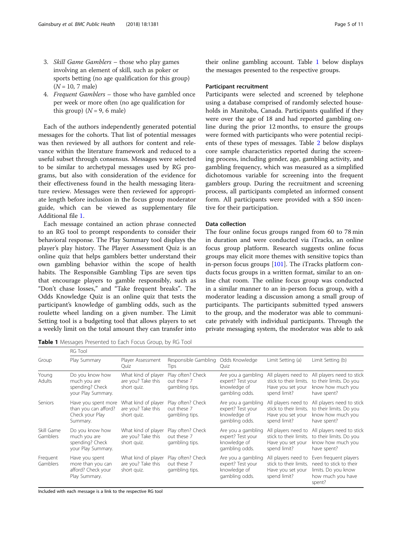- <span id="page-5-0"></span>3. Skill Game Gamblers – those who play games involving an element of skill, such as poker or sports betting (no age qualification for this group)  $(N = 10, 7$  male)
- 4. Frequent Gamblers those who have gambled once per week or more often (no age qualification for this group)  $(N = 9, 6 \text{ male})$

Each of the authors independently generated potential messages for the cohorts. That list of potential messages was then reviewed by all authors for content and relevance within the literature framework and reduced to a useful subset through consensus. Messages were selected to be similar to archetypal messages used by RG programs, but also with consideration of the evidence for their effectiveness found in the health messaging literature review. Messages were then reviewed for appropriate length before inclusion in the focus group moderator guide, which can be viewed as supplementary file Additional file [1](#page-9-0).

Each message contained an action phrase connected to an RG tool to prompt respondents to consider their behavioral response. The Play Summary tool displays the player's play history. The Player Assessment Quiz is an online quiz that helps gamblers better understand their own gambling behavior within the scope of health habits. The Responsible Gambling Tips are seven tips that encourage players to gamble responsibly, such as "Don't chase losses," and "Take frequent breaks". The Odds Knowledge Quiz is an online quiz that tests the participant's knowledge of gambling odds, such as the roulette wheel landing on a given number. The Limit Setting tool is a budgeting tool that allows players to set a weekly limit on the total amount they can transfer into

Table 1 Messages Presented to Each Focus Group, by RG Tool

their online gambling account. Table 1 below displays the messages presented to the respective groups.

#### Participant recruitment

Participants were selected and screened by telephone using a database comprised of randomly selected households in Manitoba, Canada. Participants qualified if they were over the age of 18 and had reported gambling online during the prior 12 months, to ensure the groups were formed with participants who were potential recipients of these types of messages. Table [2](#page-6-0) below displays core sample characteristics reported during the screening process, including gender, age, gambling activity, and gambling frequency, which was measured as a simplified dichotomous variable for screening into the frequent gamblers group. During the recruitment and screening process, all participants completed an informed consent form. All participants were provided with a \$50 incentive for their participation.

# Data collection

The four online focus groups ranged from 60 to 78 min in duration and were conducted via iTracks, an online focus group platform. Research suggests online focus groups may elicit more themes with sensitive topics than in-person focus groups [[101](#page-11-0)]. The iTracks platform conducts focus groups in a written format, similar to an online chat room. The online focus group was conducted in a similar manner to an in-person focus group, with a moderator leading a discussion among a small group of participants. The participants submitted typed answers to the group, and the moderator was able to communicate privately with individual participants. Through the private messaging system, the moderator was able to ask

| Group                  | <b>RG Tool</b>                                                             |                                                          |                                                    |                                                                           |                                                                                    |                                                                                                       |  |
|------------------------|----------------------------------------------------------------------------|----------------------------------------------------------|----------------------------------------------------|---------------------------------------------------------------------------|------------------------------------------------------------------------------------|-------------------------------------------------------------------------------------------------------|--|
|                        | Play Summary                                                               | Player Assessment<br>Quiz                                | Responsible Gambling<br><b>Tips</b>                | Odds Knowledge<br>Quiz                                                    | Limit Setting (a)                                                                  | Limit Setting (b)                                                                                     |  |
| Young<br>Adults        | Do you know how<br>much you are<br>spending? Check<br>your Play Summary.   | What kind of player<br>are you? Take this<br>short quiz. | Play often? Check<br>out these 7<br>gambling tips. | Are you a gambling<br>expert? Test your<br>knowledge of<br>gambling odds. | All players need to<br>stick to their limits.<br>Have you set your<br>spend limit? | All players need to stick<br>to their limits. Do you<br>know how much you<br>have spent?              |  |
| <b>Seniors</b>         | Have you spent more<br>than you can afford?<br>Check your Play<br>Summary. | What kind of player<br>are you? Take this<br>short quiz. | Play often? Check<br>out these 7<br>gambling tips. | Are you a gambling<br>expert? Test your<br>knowledge of<br>gambling odds. | All players need to<br>stick to their limits.<br>Have you set your<br>spend limit? | All players need to stick<br>to their limits. Do you<br>know how much you<br>have spent?              |  |
| Skill Game<br>Gamblers | Do you know how<br>much you are<br>spending? Check<br>your Play Summary.   | What kind of player<br>are you? Take this<br>short quiz. | Play often? Check<br>out these 7<br>gambling tips. | Are you a gambling<br>expert? Test your<br>knowledge of<br>gambling odds. | All players need to<br>stick to their limits.<br>Have you set your<br>spend limit? | All players need to stick<br>to their limits. Do you<br>know how much you<br>have spent?              |  |
| Frequent<br>Gamblers   | Have you spent<br>more than you can<br>afford? Check your<br>Play Summary. | What kind of player<br>are you? Take this<br>short quiz. | Play often? Check<br>out these 7<br>gambling tips. | Are you a gambling<br>expert? Test your<br>knowledge of<br>gambling odds. | All players need to<br>stick to their limits.<br>Have you set your<br>spend limit? | Even frequent players<br>need to stick to their<br>limits. Do you know<br>how much you have<br>spent? |  |

Included with each message is a link to the respective RG tool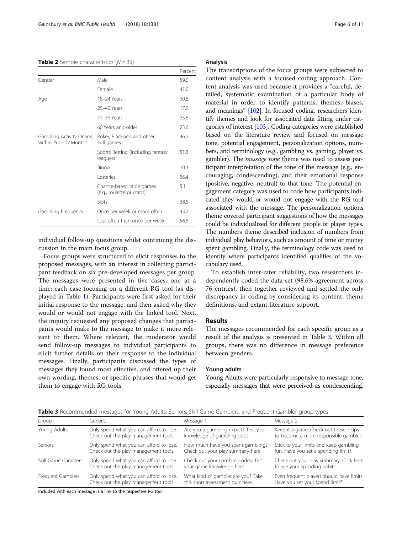#### <span id="page-6-0"></span>**Table 2** Sample characteristics  $(N = 39)$

|                                                     |                                                       | Percent |
|-----------------------------------------------------|-------------------------------------------------------|---------|
| Gender                                              | Male                                                  | 59.0    |
|                                                     | Female                                                | 41.0    |
| Age                                                 | 18-24 Years                                           | 30.8    |
|                                                     | 25-40 Years                                           | 17.9    |
|                                                     | 41–59 Years                                           | 25.6    |
|                                                     | 60 Years and older                                    | 25.6    |
| Gambling Activity Online,<br>within Prior 12 Months | Poker, Blackjack, and other<br>skill games            | 46.2    |
|                                                     | Sports Betting (including fantasy<br>leagues)         | 51.3    |
|                                                     | Bingo                                                 | 10.3    |
|                                                     | <b>Lotteries</b>                                      | 56.4    |
|                                                     | Chance-based table games<br>(e.g., roulette or craps) | 5.1     |
|                                                     | Slots                                                 | 38.5    |
| Gambling Frequency                                  | Once per week or more often                           | 43.2    |
|                                                     | Less often than once per week                         | 56.8    |

individual follow-up questions whilst continuing the discussion in the main focus group.

Focus groups were structured to elicit responses to the proposed messages, with an interest in collecting participant feedback on six pre-developed messages per group. The messages were presented in five cases, one at a time; each case focusing on a different RG tool (as displayed in Table [1\)](#page-5-0). Participants were first asked for their initial response to the message, and then asked why they would or would not engage with the linked tool. Next, the inquiry requested any proposed changes that participants would make to the message to make it more relevant to them. Where relevant, the moderator would send follow-up messages to individual participants to elicit further details on their response to the individual messages. Finally, participants discussed the types of messages they found most effective, and offered up their own wording, themes, or specific phrases that would get them to engage with RG tools.

# Analysis

The transcriptions of the focus groups were subjected to content analysis with a focused coding approach. Content analysis was used because it provides a "careful, detailed, systematic examination of a particular body of material in order to identify patterns, themes, biases, and meanings" [\[102](#page-11-0)]. In focused coding, researchers identify themes and look for associated data fitting under categories of interest [\[103](#page-11-0)]. Coding categories were established based on the literature review and focused on message tone, potential engagement, personalization options, numbers, and terminology (e.g., gambling vs. gaming, player vs. gambler). The *message tone* theme was used to assess participant interpretation of the tone of the message (e.g., encouraging, condescending), and their emotional response (positive, negative, neutral) to that tone. The potential engagement category was used to code how participants indicated they would or would not engage with the RG tool associated with the message. The personalization options theme covered participant suggestions of how the messages could be individualized for different people or player types. The numbers theme described inclusion of numbers from individual play behaviors, such as amount of time or money spent gambling. Finally, the terminology code was used to identify where participants identified qualities of the vocabulary used.

To establish inter-rater reliability, two researchers independently coded the data set (98.6% agreement across 76 entries), then together reviewed and settled the only discrepancy in coding by considering its content, theme definitions, and extant literature support.

# Results

The messages recommended for each specific group as a result of the analysis is presented in Table 3. Within all groups, there was no difference in message preference between genders.

#### Young adults

Young Adults were particularly responsive to message tone, especially messages that were perceived as condescending.

Table 3 Recommended messages for Young Adults, Seniors, Skill Game Gamblers, and Frequent Gambler group types

| Group               | Generic                                 | Message 1                            | Message 2                                 |
|---------------------|-----------------------------------------|--------------------------------------|-------------------------------------------|
| Young Adults        | Only spend what you can afford to lose. | Are you a gambling expert? Test your | Keep it a game. Check out these 7 tips    |
|                     | Check out the play management tools.    | knowledge of gambling odds.          | to become a more responsible gambler.     |
| Seniors             | Only spend what you can afford to lose. | How much have you spent gambling?    | Stick to your limits and keep gambling    |
|                     | Check out the play management tools.    | Check out your play summary here.    | fun. Have you set a spending limit?       |
| Skill Game Gamblers | Only spend what you can afford to lose. | Check out your gambling odds. Test   | Check out your play summary. Click here   |
|                     | Check out the play management tools.    | your game knowledge here.            | to see your spending habits.              |
| Frequent Gamblers   | Only spend what you can afford to lose. | What kind of gambler are you? Take   | Even frequent players should have limits. |
|                     | Check out the play management tools.    | this short assessment quiz here.     | Have you set your spend limit?            |

Included with each message is a link to the respective RG tool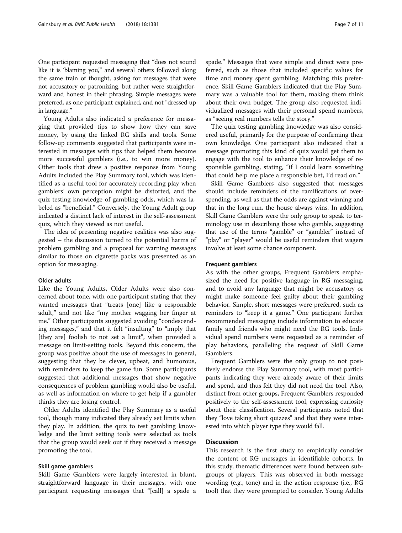One participant requested messaging that "does not sound like it is 'blaming you,'" and several others followed along the same train of thought, asking for messages that were not accusatory or patronizing, but rather were straightforward and honest in their phrasing. Simple messages were preferred, as one participant explained, and not "dressed up in language."

Young Adults also indicated a preference for messaging that provided tips to show how they can save money, by using the linked RG skills and tools. Some follow-up comments suggested that participants were interested in messages with tips that helped them become more successful gamblers (i.e., to win more money). Other tools that drew a positive response from Young Adults included the Play Summary tool, which was identified as a useful tool for accurately recording play when gamblers' own perception might be distorted, and the quiz testing knowledge of gambling odds, which was labeled as "beneficial." Conversely, the Young Adult group indicated a distinct lack of interest in the self-assessment quiz, which they viewed as not useful.

The idea of presenting negative realities was also suggested – the discussion turned to the potential harms of problem gambling and a proposal for warning messages similar to those on cigarette packs was presented as an option for messaging.

#### Older adults

Like the Young Adults, Older Adults were also concerned about tone, with one participant stating that they wanted messages that "treats [one] like a responsible adult," and not like "my mother wagging her finger at me." Other participants suggested avoiding "condescending messages," and that it felt "insulting" to "imply that [they are] foolish to not set a limit", when provided a message on limit-setting tools. Beyond this concern, the group was positive about the use of messages in general, suggesting that they be clever, upbeat, and humorous, with reminders to keep the game fun. Some participants suggested that additional messages that show negative consequences of problem gambling would also be useful, as well as information on where to get help if a gambler thinks they are losing control.

Older Adults identified the Play Summary as a useful tool, though many indicated they already set limits when they play. In addition, the quiz to test gambling knowledge and the limit setting tools were selected as tools that the group would seek out if they received a message promoting the tool.

#### Skill game gamblers

Skill Game Gamblers were largely interested in blunt, straightforward language in their messages, with one participant requesting messages that "[call] a spade a spade." Messages that were simple and direct were preferred, such as those that included specific values for time and money spent gambling. Matching this preference, Skill Game Gamblers indicated that the Play Summary was a valuable tool for them, making them think about their own budget. The group also requested individualized messages with their personal spend numbers, as "seeing real numbers tells the story."

The quiz testing gambling knowledge was also considered useful, primarily for the purpose of confirming their own knowledge. One participant also indicated that a message promoting this kind of quiz would get them to engage with the tool to enhance their knowledge of responsible gambling, stating, "if I could learn something that could help me place a responsible bet, I'd read on."

Skill Game Gamblers also suggested that messages should include reminders of the ramifications of overspending, as well as that the odds are against winning and that in the long run, the house always wins. In addition, Skill Game Gamblers were the only group to speak to terminology use in describing those who gamble, suggesting that use of the terms "gamble" or "gambler" instead of "play" or "player" would be useful reminders that wagers involve at least some chance component.

#### Frequent gamblers

As with the other groups, Frequent Gamblers emphasized the need for positive language in RG messaging, and to avoid any language that might be accusatory or might make someone feel guilty about their gambling behavior. Simple, short messages were preferred, such as reminders to "keep it a game." One participant further recommended messaging include information to educate family and friends who might need the RG tools. Individual spend numbers were requested as a reminder of play behaviors, paralleling the request of Skill Game Gamblers.

Frequent Gamblers were the only group to not positively endorse the Play Summary tool, with most participants indicating they were already aware of their limits and spend, and thus felt they did not need the tool. Also, distinct from other groups, Frequent Gamblers responded positively to the self-assessment tool, expressing curiosity about their classification. Several participants noted that they "love taking short quizzes" and that they were interested into which player type they would fall.

# **Discussion**

This research is the first study to empirically consider the content of RG messages in identifiable cohorts. In this study, thematic differences were found between subgroups of players. This was observed in both message wording (e.g., tone) and in the action response (i.e., RG tool) that they were prompted to consider. Young Adults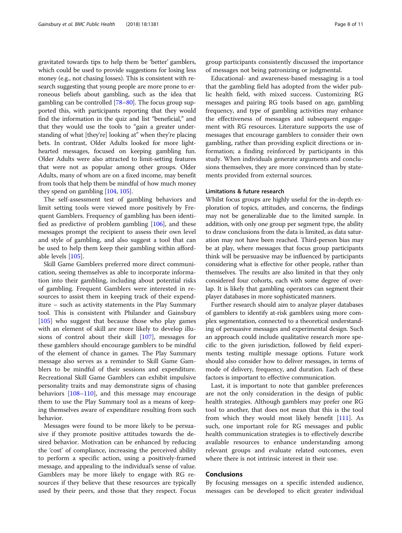gravitated towards tips to help them be 'better' gamblers, which could be used to provide suggestions for losing less money (e.g., not chasing losses). This is consistent with research suggesting that young people are more prone to erroneous beliefs about gambling, such as the idea that gambling can be controlled [\[78](#page-11-0)–[80\]](#page-11-0). The focus group supported this, with participants reporting that they would find the information in the quiz and list "beneficial," and that they would use the tools to "gain a greater understanding of what [they're] looking at" when they're placing bets. In contrast, Older Adults looked for more lighthearted messages, focused on keeping gambling fun. Older Adults were also attracted to limit-setting features that were not as popular among other groups. Older Adults, many of whom are on a fixed income, may benefit from tools that help them be mindful of how much money they spend on gambling [\[104,](#page-11-0) [105\]](#page-11-0).

The self-assessment test of gambling behaviors and limit setting tools were viewed more positively by Frequent Gamblers. Frequency of gambling has been identified as predictive of problem gambling [[106](#page-11-0)], and these messages prompt the recipient to assess their own level and style of gambling, and also suggest a tool that can be used to help them keep their gambling within affordable levels [\[105](#page-11-0)].

Skill Game Gamblers preferred more direct communication, seeing themselves as able to incorporate information into their gambling, including about potential risks of gambling. Frequent Gamblers were interested in resources to assist them in keeping track of their expenditure – such as activity statements in the Play Summary tool. This is consistent with Philander and Gainsbury [[105\]](#page-11-0) who suggest that because those who play games with an element of skill are more likely to develop illusions of control about their skill [\[107\]](#page-11-0), messages for these gamblers should encourage gamblers to be mindful of the element of chance in games. The Play Summary message also serves as a reminder to Skill Game Gamblers to be mindful of their sessions and expenditure. Recreational Skill Game Gamblers can exhibit impulsive personality traits and may demonstrate signs of chasing behaviors [\[108](#page-11-0)–[110\]](#page-11-0), and this message may encourage them to use the Play Summary tool as a means of keeping themselves aware of expenditure resulting from such behavior.

Messages were found to be more likely to be persuasive if they promote positive attitudes towards the desired behavior. Motivation can be enhanced by reducing the 'cost' of compliance, increasing the perceived ability to perform a specific action, using a positively-framed message, and appealing to the individual's sense of value. Gamblers may be more likely to engage with RG resources if they believe that these resources are typically used by their peers, and those that they respect. Focus group participants consistently discussed the importance of messages not being patronizing or judgmental.

Educational- and awareness-based messaging is a tool that the gambling field has adopted from the wider public health field, with mixed success. Customizing RG messages and pairing RG tools based on age, gambling frequency, and type of gambling activities may enhance the effectiveness of messages and subsequent engagement with RG resources. Literature supports the use of messages that encourage gamblers to consider their own gambling, rather than providing explicit directions or information; a finding reinforced by participants in this study. When individuals generate arguments and conclusions themselves, they are more convinced than by statements provided from external sources.

#### Limitations & future research

Whilst focus groups are highly useful for the in-depth exploration of topics, attitudes, and concerns, the findings may not be generalizable due to the limited sample. In addition, with only one group per segment type, the ability to draw conclusions from the data is limited, as data saturation may not have been reached. Third-person bias may be at play, where messages that focus group participants think will be persuasive may be influenced by participants considering what is effective for other people, rather than themselves. The results are also limited in that they only considered four cohorts, each with some degree of overlap. It is likely that gambling operators can segment their player databases in more sophisticated manners.

Further research should aim to analyze player databases of gamblers to identify at-risk gamblers using more complex segmentation, connected to a theoretical understanding of persuasive messages and experimental design. Such an approach could include qualitative research more specific to the given jurisdiction, followed by field experiments testing multiple message options. Future work should also consider how to deliver messages, in terms of mode of delivery, frequency, and duration. Each of these factors is important to effective communication.

Last, it is important to note that gambler preferences are not the only consideration in the design of public health strategies. Although gamblers may prefer one RG tool to another, that does not mean that this is the tool from which they would most likely benefit [\[111\]](#page-11-0). As such, one important role for RG messages and public health communication strategies is to effectively describe available resources to enhance understanding among relevant groups and evaluate related outcomes, even where there is not intrinsic interest in their use.

#### Conclusions

By focusing messages on a specific intended audience, messages can be developed to elicit greater individual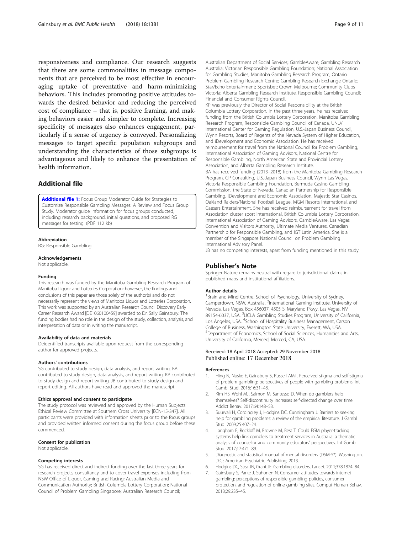<span id="page-9-0"></span>responsiveness and compliance. Our research suggests that there are some commonalities in message components that are perceived to be most effective in encouraging uptake of preventative and harm-minimizing behaviors. This includes promoting positive attitudes towards the desired behavior and reducing the perceived cost of compliance – that is, positive framing, and making behaviors easier and simpler to complete. Increasing specificity of messages also enhances engagement, particularly if a sense of urgency is conveyed. Personalizing messages to target specific population subgroups and understanding the characteristics of those subgroups is advantageous and likely to enhance the presentation of health information.

# Additional file

[Additional file 1:](https://doi.org/10.1186/s12889-018-6281-0) Focus Group Moderator Guide for Strategies to Customize Responsible Gambling Messages: A Review and Focus Group Study. Moderator guide information for focus groups conducted, including research background, initial questions, and proposed RG messages for testing. (PDF 112 kb)

#### Abbreviation

RG: Responsible Gambling

#### Acknowledgements

Not applicable.

#### Funding

This research was funded by the Manitoba Gambling Research Program of Manitoba Liquor and Lotteries Corporation; however, the findings and conclusions of this paper are those solely of the author(s) and do not necessarily represent the views of Manitoba Liquor and Lotteries Corporation. This work was supported by an Australian Research Council Discovery Early Career Research Award [DE1060100459] awarded to Dr. Sally Gainsbury. The funding bodies had no role in the design of the study, collection, analysis, and interpretation of data or in writing the manuscript.

#### Availability of data and materials

Deidentified transcripts available upon request from the corresponding author for approved projects.

#### Authors' contributions

SG contributed to study design, data analysis, and report writing. BA contributed to study design, data analysis, and report writing. KP contributed to study design and report writing. JB contributed to study design and report editing. All authors have read and approved the manuscript.

#### Ethics approval and consent to participate

The study protocol was reviewed and approved by the Human Subjects Ethical Review Committee at Southern Cross University [ECN-15-347]. All participants were provided with information sheets prior to the focus groups and provided written informed consent during the focus group before these commenced.

#### Consent for publication

Not applicable.

#### Competing interests

SG has received direct and indirect funding over the last three years for research projects, consultancy and to cover travel expenses including from NSW Office of Liquor, Gaming and Racing; Australian Media and Communication Authority; British Columbia Lottery Corporation; National Council of Problem Gambling Singapore; Australian Research Council;

Australian Department of Social Services; GambleAware; Gambling Research Australia; Victorian Responsible Gambling Foundation; National Association for Gambling Studies; Manitoba Gambling Research Program; Ontario Problem Gambling Research Centre; Gambling Research Exchange Ontario; Star/Echo Entertainment; Sportsbet; Crown Melbourne; Community Clubs Victoria; Alberta Gambling Research Institute, Responsible Gambling Council; Financial and Consumer Rights Council.

KP was previously the Director of Social Responsibility at the British Columbia Lottery Corporation. In the past three years, he has received funding from the British Columbia Lottery Corporation, Manitoba Gambling Research Program, Responsible Gambling Council of Canada, UNLV International Center for Gaming Regulation, U.S.-Japan Business Council, Wynn Resorts, Board of Regents of the Nevada System of Higher Education, and iDevelopment and Economic Association. He has received reimbursement for travel from the National Council for Problem Gambling, International Association of Gaming Advisors, National Centre for Responsible Gambling, North American State and Provincial Lottery Association, and Alberta Gambling Research Institute. BA has received funding (2013–2018) from the Manitoba Gambling Research Program, GP Consulting, U.S.-Japan Business Council, Wynn Las Vegas, Victoria Responsible Gambling Foundation, Bermuda Casino Gambling Commission, the State of Nevada, Canadian Partnership for Responsible Gambling, iDevelopment and Economic Association, Majestic Star Casinos, Oakland Raiders/National Football League, MGM Resorts International, and Caesars Entertainment. She has received reimbursement for travel from Association cluster sport international, British Columbia Lottery Corporation, International Association of Gaming Advisors, GambleAware, Las Vegas Convention and Visitors Authority, Ultimate Media Ventures, Canadian Partnership for Responsible Gambling, and IGT Latin America. She is a member of the Singapore National Council on Problem Gambling International Advisory Panel.

JB has no competing interests, apart from funding mentioned in this study.

#### Publisher's Note

Springer Nature remains neutral with regard to jurisdictional claims in published maps and institutional affiliations.

#### Author details

<sup>1</sup> Brain and Mind Centre, School of Psychology, University of Sydney, Camperdown, NSW, Australia. <sup>2</sup>International Gaming Institute, University of Nevada, Las Vegas, Box 456037, 4505 S. Maryland Pkwy, Las Vegas, NV 89154-6037, USA. <sup>3</sup>UCLA Gambling Studies Program, University of California Los Angeles, USA. <sup>4</sup>School of Hospitality Business Management, Carson College of Business, Washington State University, Everett, WA, USA. 5 Department of Economics, School of Social Sciences, Humanities and Arts, University of California, Merced, Merced, CA, USA.

# Received: 18 April 2018 Accepted: 29 November 2018

#### References

- 1. Hing N, Nuske E, Gainsbury S, Russell AMT. Perceived stigma and self-stigma of problem gambling: perspectives of people with gambling problems. Int Gambl Stud. 2016;16:31–48.
- 2. Kim HS, Wohl MJ, Salmon M, Santesso D. When do gamblers help themselves? Self-discontinuity increases self-directed change over time. Addict Behav. 2017;64:148–53.
- 3. Suurvali H, Cordingley J, Hodgins DC, Cunningham J. Barriers to seeking help for gambling problems: a review of the empirical literature. J Gambl Stud. 2009;25:407–24.
- 4. Langham E, Rockloff M, Browne M, Best T. Could EGM player-tracking systems help link gamblers to treatment services in Australia: a thematic analysis of counsellor and community educators' perspectives. Int Gambl Stud. 2017;17:471–89.
- 5. Diagnostic and statistical manual of mental disorders (DSM-5®). Washington. D.C.: American Psychiatric Publishing; 2013.
- 6. Hodgins DC, Stea JN, Grant JE. Gambling disorders. Lancet. 2011;378:1874–84.
- 7. Gainsbury S, Parke J, Suhonen N. Consumer attitudes towards internet gambling: perceptions of responsible gambling policies, consumer protection, and regulation of online gambling sites. Comput Human Behav. 2013;29:235–45.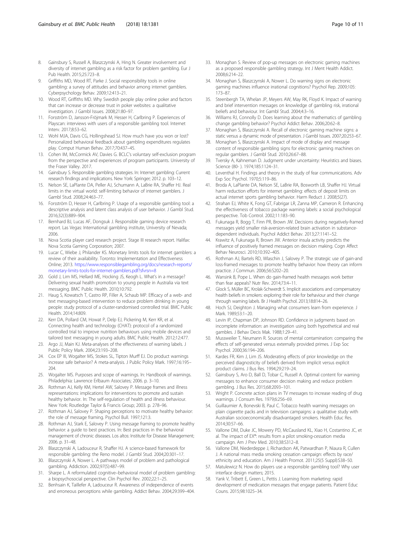- <span id="page-10-0"></span>8. Gainsbury S, Russell A, Blaszczynski A, Hing N. Greater involvement and diversity of internet gambling as a risk factor for problem gambling. Eur J Pub Health. 2015;25:723–8.
- Griffiths MD, Wood RT, Parke J. Social responsibility tools in online gambling: a survey of attitudes and behavior among internet gamblers. Cyberpsychology Behav. 2009;12:413–21.
- 10. Wood RT, Griffiths MD. Why Swedish people play online poker and factors that can increase or decrease trust in poker websites: a qualitative investigation. J Gambl Issues. 2008;21:80–97.
- 11. Forsström D, Jansson-Fröjmark M, Hesser H, Carlbring P. Experiences of Playscan: interviews with users of a responsible gambling tool. Internet Interv. 2017;8:53–62.
- 12. Wohl MJA, Davis CG, Hollingshead SJ. How much have you won or lost? Personalized behavioral feedback about gambling expenditures regulates play. Comput Human Behav. 2017;70:437–45.
- 13. Cohen IM, McCormick AV, Davies G. BCLC's voluntary self-exclusion program from the perspective and experiences of program participants. University of the Fraser Valley. 2017.
- 14. Gainsbury S. Responsible gambling strategies. In: Internet gambling: Current research findings and implications. New York: Springer; 2012. p. 103–12.
- 15. Nelson SE, LaPlante DA, Peller AJ, Schumann A, LaBrie RA, Shaffer HJ. Real limits in the virtual world: self-limiting behavior of internet gamblers. J Gambl Stud. 2008;24:463–77.
- 16. Forsström D, Hesser H, Carlbring P. Usage of a responsible gambling tool: a descriptive analysis and latent class analysis of user behavior. J Gambl Stud. 2016;32(3):889–904.
- 17. Bernhard BJ, Lucas AF, Dongsuk J. Responsible gaming device research report. Las Vegas: International gambling institute, University of Nevada; 2006.
- 18. Nova Scotia player card research project. Stage III research report. Halifax: Nova Scotia Gaming Corporation; 2007.
- 19. Lucar C, Wiebe J, Philander KS. Monetary limits tools for internet gamblers: a review of their availability. Toronto: Implementation and Effectiveness Online; 2013. [https://www.responsiblegambling.org/docs/research-reports/](https://www.responsiblegambling.org/docs/research-reports/monetary-limits-tools-for-internet-gamblers.pdf?sfvrsn=8) [monetary-limits-tools-for-internet-gamblers.pdf?sfvrsn=8](https://www.responsiblegambling.org/docs/research-reports/monetary-limits-tools-for-internet-gamblers.pdf?sfvrsn=8)
- 20. Gold J, Lim MS, Hellard ME, Hocking JS, Keogh L. What's in a message? Delivering sexual health promotion to young people in Australia via text messaging. BMC Public Health. 2010;10:792.
- 21. Haug S, Kowatsch T, Castro RP, Filler A, Schaub MP. Efficacy of a web- and text messaging-based intervention to reduce problem drinking in young people: study protocol of a cluster-randomised controlled trial. BMC Public Health. 2014;14:809.
- 22. Kerr DA, Pollard CM, Howat P, Delp EJ, Pickering M, Kerr KR, et al. Connecting health and technology (CHAT): protocol of a randomized controlled trial to improve nutrition behaviours using mobile devices and tailored text messaging in young adults. BMC Public Health. 2012;12:477.
- 23. Argo JJ, Main KJ. Meta-analyses of the effectiveness of warning labels. J Public Policy Mark. 2004;23:193–208.
- 24. Cox EP III, Wogalter MS, Stokes SL, Tipton Murff EJ. Do product warnings increase safe behavior? A meta-analysis. J Public Policy Mark. 1997;16:195– 204.
- 25. Wogalter MS. Purposes and scope of warnings. In: Handbook of warnings. Philadelphia: Lawrence Erlbaum Associates; 2006. p. 3–10.
- 26. Rothman AJ, Kelly KM, Hertel AW, Salovey P. Message frames and illness representations: implications for interventions to promote and sustain healthy behavior. In: The self-regulation of health and illness behaviour. New York: Routledge Taylor & Francis Group; 2003. p. 278–96.
- 27. Rothman AJ, Salovey P. Shaping perceptions to motivate healthy behavior: the role of message framing. Psychol Bull. 1997;121:3.
- 28. Rothman AJ, Stark E, Salovey P. Using message framing to promote healthy behavior: a guide to best practices. In: Best practices in the behavioral management of chronic diseases. Los altos: Institute for Disease Management; 2006. p. 31–48.
- 29. Blaszczynski A, Ladouceur R, Shaffer HJ. A science-based framework for responsible gambling: the Reno model. J Gambl Stud. 2004;20:301–17.
- 30. Blaszczynski A, Nower L. A pathways model of problem and pathological gambling. Addiction. 2002;97(5):487–99.
- 31. Sharpe L. A reformulated cognitive–behavioral model of problem gambling: a biopsychosocial perspective. Clin Psychol Rev. 2002;22:1–25.
- 32. Benhsain K, Taillefer A, Ladouceur R. Awareness of independence of events and erroneous perceptions while gambling. Addict Behav. 2004;29:399–404.
- 33. Monaghan S. Review of pop-up messages on electronic gaming machines as a proposed responsible gambling strategy. Int J Ment Health Addict. 2008;6:214–22.
- 34. Monaghan S, Blaszczynski A, Nower L. Do warning signs on electronic gaming machines influence irrational cognitions? Psychol Rep. 2009;105: 173–87.
- 35. Steenbergh TA, Whelan JP, Meyers AW, May RK, Floyd K. Impact of warning and brief intervention messages on knowledge of gambling risk, irrational beliefs and behaviour. Int Gambl Stud. 2004;4:3–16.
- 36. Williams RJ, Connolly D. Does learning about the mathematics of gambling change gambling behavior? Psychol Addict Behav. 2006;20:62–8.
- 37. Monaghan S, Blaszczynski A. Recall of electronic gaming machine signs: a static versus a dynamic mode of presentation. J Gambl Issues. 2007;20:253–67.
- 38. Monaghan S, Blaszczynski A. Impact of mode of display and message content of responsible gambling signs for electronic gaming machines on regular gamblers. J Gambl Stud. 2010;26:67–88.
- 39. Tversky A, Kahneman D. Judgment under uncertainty: Heuristics and biases. Science (80- ). 1974;185:1124–31.
- 40. Leventhal H. Findings and theory in the study of fear communications. Adv Exp Soc Psychol. 1970;5:119–86.
- 41. Broda A, LaPlante DA, Nelson SE, LaBrie RA, Bosworth LB, Shaffer HJ. Virtual harm reduction efforts for internet gambling: effects of deposit limits on actual internet sports gambling behavior. Harm Reduct J. 2008;5(27).
- 42. Strahan EJ, White K, Fong GT, Fabrigar LR, Zanna MP, Cameron R. Enhancing the effectiveness of tobacco package warning labels: a social psychological perspective. Tob Control. 2002;11:183–90.
- 43. Fukunaga R, Bogg T, Finn PR, Brown JW. Decisions during negatively-framed messages yield smaller risk-aversion-related brain activation in substancedependent individuals. Psychol Addict Behav. 2013;27:1141–52.
- 44. Krawitz A, Fukunaga R, Brown JW. Anterior insula activity predicts the influence of positively framed messages on decision making. Cogn Affect Behav Neurosci. 2010;10:392–405.
- 45. Rothman AJ, Bartels RD, Wlaschin J, Salovey P. The strategic use of gain-and loss-framed messages to promote healthy behavior: how theory can inform practice. J Commun. 2006;56:S202–20.
- 46. Wansink B, Pope L. When do gain-framed health messages work better than fear appeals? Nutr Rev. 2014;73:4–11.
- 47. Glock S, Müller BC, Krolak-Schwerdt S. Implicit associations and compensatory health beliefs in smokers: exploring their role for behaviour and their change through warning labels. Br J Health Psychol. 2013;18:814–26.
- 48. Hoch SJ, Deighton J. Managing what consumers learn from experience. J Mark. 1989;53:1–20.
- 49. Levin IP, Chapman DP, Johnson RD. Confidence in judgments based on incomplete information: an investigation using both hypothetical and real gambles. J Behav Decis Mak. 1988;1:29–41.
- 50. Mussweiler T, Neumann R. Sources of mental contamination: comparing the effects of self-generated versus externally provided primes. J Exp Soc Psychol. 2000;36:194–206.
- 51. Kardes FR, Kim J, Lim JS. Moderating effects of prior knowledge on the perceived diagnosticity of beliefs derived from implicit versus explicit product claims. J Bus Res. 1994;29:219–24.
- 52. Gainsbury S, Aro D, Ball D, Tobar C, Russell A. Optimal content for warning messages to enhance consumer decision making and reduce problem gambling. J Bus Res. 2015;68:2093–101.
- 53. Wright P. Concrete action plans in TV messages to increase reading of drug warnings. J Consum Res. 1979;6:256–69.
- 54. Guillaumier A, Bonevski B, Paul C. Tobacco health warning messages on plain cigarette packs and in television campaigns: a qualitative study with Australian socioeconomically disadvantaged smokers. Health Educ Res. 2014;30:57–66.
- 55. Vallone DM, Duke JC, Mowery PD, McCausland KL, Xiao H, Costantino JC, et al. The impact of EX®: results from a pilot smoking-cessation media campaign. Am J Prev Med. 2010;38:S312–8.
- 56. Vallone DM, Niederdeppe J, Richardson AK, Patwardhan P, Niaura R, Cullen J. A national mass media smoking cessation campaign: effects by race/ ethnicity and education. Am J Health Promot. 2011;25(5 Suppl):S38–50.
- 57. Matulewicz N. How do players use a responsible gambling tool? Why user interface design matters; 2015.
- Yank V, Tribett E, Green L, Pettis J. Learning from marketing: rapid development of medication messages that engage patients. Patient Educ Couns. 2015;98:1025–34.